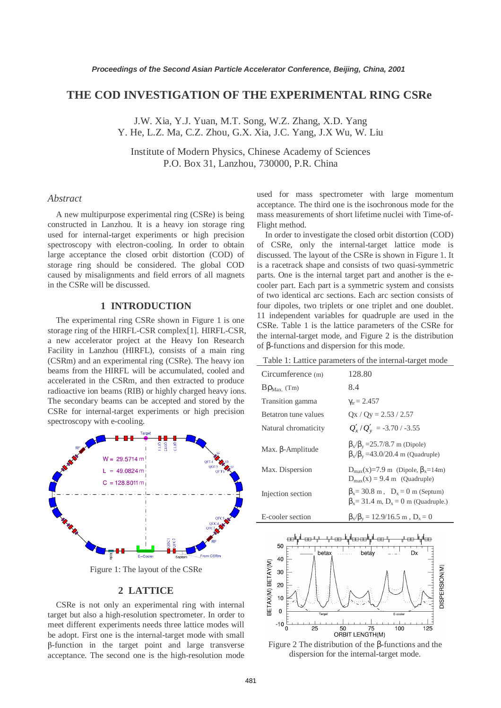# **THE COD INVESTIGATION OF THE EXPERIMENTAL RING CSRe**

J.W. Xia, Y.J. Yuan, M.T. Song, W.Z. Zhang, X.D. Yang Y. He, L.Z. Ma, C.Z. Zhou, G.X. Xia, J.C. Yang, J.X Wu, W. Liu

Institute of Modern Physics, Chinese Academy of Sciences P.O. Box 31, Lanzhou, 730000, P.R. China

## *Abstract*

A new multipurpose experimental ring (CSRe) is being constructed in Lanzhou. It is a heavy ion storage ring used for internal-target experiments or high precision spectroscopy with electron-cooling. In order to obtain large acceptance the closed orbit distortion (COD) of storage ring should be considered. The global COD caused by misalignments and field errors of all magnets in the CSRe will be discussed.

# **1 INTRODUCTION**

The experimental ring CSRe shown in Figure 1 is one storage ring of the HIRFL-CSR complex[1]. HIRFL-CSR, a new accelerator project at the Heavy Ion Research Facility in Lanzhou (HIRFL), consists of a main ring (CSRm) and an experimental ring (CSRe). The heavy ion beams from the HIRFL will be accumulated, cooled and accelerated in the CSRm, and then extracted to produce radioactive ion beams (RIB) or highly charged heavy ions. The secondary beams can be accepted and stored by the CSRe for internal-target experiments or high precision spectroscopy with e-cooling.



Figure 1: The layout of the CSRe

#### **2 LATTICE**

CSRe is not only an experimental ring with internal target but also a high-resolution spectrometer. In order to meet different experiments needs three lattice modes will be adopt. First one is the internal-target mode with small β-function in the target point and large transverse acceptance. The second one is the high-resolution mode used for mass spectrometer with large momentum acceptance. The third one is the isochronous mode for the mass measurements of short lifetime nuclei with Time-of-Flight method.

In order to investigate the closed orbit distortion (COD) of CSRe, only the internal-target lattice mode is discussed. The layout of the CSRe is shown in Figure 1. It is a racetrack shape and consists of two quasi-symmetric parts. One is the internal target part and another is the ecooler part. Each part is a symmetric system and consists of two identical arc sections. Each arc section consists of four dipoles, two triplets or one triplet and one doublet. 11 independent variables for quadruple are used in the CSRe. Table 1 is the lattice parameters of the CSRe for the internal-target mode, and Figure 2 is the distribution of β-functions and dispersion for this mode.

Table 1: Lattice parameters of the internal-target mode

| Circumference (m)         | 128.80                                                                                                  |
|---------------------------|---------------------------------------------------------------------------------------------------------|
| $B\rho_{\text{Max}}$ (Tm) | 8.4                                                                                                     |
| Transition gamma          | $\gamma_{\rm tr} = 2.457$                                                                               |
| Betatron tune values      | $Qx / Qy = 2.53 / 2.57$                                                                                 |
| Natural chromaticity      | $Q'_x/Q'_y = -3.70/ -3.55$                                                                              |
| Max. $\beta$ -Amplitude   | $\beta_x/\beta_y = 25.7/8.7$ m (Dipole)<br>$\beta_{x}/\beta_{y}$ =43.0/20.4 m (Quadruple)               |
| Max. Dispersion           | $D_{\text{max}}(x)=7.9 \text{ m}$ (Dipole, $\beta_x=14 \text{ m}$ )<br>$D_{max}(x) = 9.4$ m (Quadruple) |
| Injection section         | $\beta_x = 30.8$ m, $D_x = 0$ m (Septum)<br>$\beta_x = 31.4$ m, $D_x = 0$ m (Quadruple.)                |
|                           |                                                                                                         |



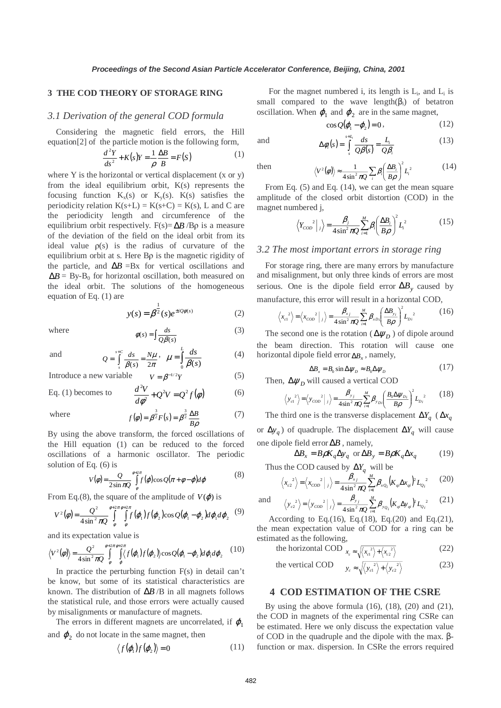## **3 THE COD THEORY OF STORAGE RING**

# *3.1 Derivation of the general COD formula*

Considering the magnetic field errors, the Hill equation[2] of the particle motion is the following form,

$$
\frac{d^2Y}{ds^2} + K(s)Y = \frac{1}{\rho} \frac{\Delta B}{B} = F(S)
$$
 (1)

where Y is the horizontal or vertical displacement (x or y) from the ideal equilibrium orbit,  $K(s)$  represents the focusing function  $K_x(s)$  or  $K_y(s)$ .  $K(s)$  satisfies the periodicity relation  $K(s+L) = K(s+C) = K(s)$ , L and C are the periodicity length and circumference of the equilibrium orbit respectively. F(s)=  $\Delta B/B\rho$  is a measure of the deviation of the field on the ideal orbit from its ideal value  $\rho(s)$  is the radius of curvature of the equilibrium orbit at s. Here Bρ is the magnetic rigidity of the particle, and  $\Delta B = Bx$  for vertical oscillations and  $\Delta B = By-B_0$  for horizontal oscillation, both measured on the ideal orbit. The solutions of the homogeneous equation of Eq. (1) are

$$
y(s) = \beta^{\frac{1}{2}}(s)e^{\pm iQ\phi(s)}
$$
 (2)

where 
$$
\phi(s) = \int \frac{ds}{Q\beta(s)} \tag{3}
$$

and

$$
Q = \int_{s}^{s+C} \frac{ds}{\beta(s)} = \frac{N\mu}{2\pi}, \quad \mu = \int_{0}^{L} \frac{ds}{\beta(s)} \tag{4}
$$

Introduce a new variable  $V = \beta^{-1/2} Y$  (5)

*s C*

Eq. (1) becomes to 
$$
\frac{d^2V}{d\phi^2} + Q^2V = Q^2f(\phi)
$$
 (6)

where

$$
f(\phi) = \beta^{\frac{3}{2}} F(s) = \beta^{\frac{3}{2}} \frac{\Delta B}{B \rho}
$$
 (7)

By using the above transform, the forced oscillations of the Hill equation (1) can be reduced to the forced oscillations of a harmonic oscillator. The periodic solution of Eq. (6) is

$$
V(\phi) = \frac{Q}{2\sin \pi Q} \int_{\phi}^{\phi+2\pi} f(\phi) \cos Q(\pi + \phi - \phi) d\phi
$$
 (8)

From Eq.(8), the square of the amplitude of  $V(\varphi)$  is

$$
V^2(\phi) = \frac{Q^2}{4\sin^2 \pi Q} \int\limits_{\phi}^{\phi+2\pi \phi+2\pi} \int\limits_{\phi}^{\phi+2\pi \phi} f(\varphi_1) f(\varphi_2) \cos Q(\varphi_1 - \varphi_2) d\varphi_1 d\varphi_2 \tag{9}
$$

and its expectation value is

$$
\langle V^2(\phi) \rangle = \frac{Q^2}{4\sin^2 \pi Q} \int\limits_{\phi}^{\phi+2\pi} \int\limits_{\phi}^{\phi+2\pi} \langle f(\phi_1) f(\phi_2) \rangle \cos Q(\phi_1 - \phi_2) d\phi_1 d\phi_2 \tag{10}
$$

In practice the perturbing function F(s) in detail can't be know, but some of its statistical characteristics are known. The distribution of ∆*B* /B in all magnets follows the statistical rule, and those errors were actually caused by misalignments or manufacture of magnets.

The errors in different magnets are uncorrelated, if  $\varphi_1$ and  $\varphi_2$  do not locate in the same magnet, then

$$
\langle f(\boldsymbol{\varphi}_1)f(\boldsymbol{\varphi}_2)\rangle = 0 \tag{11}
$$

For the magnet numbered i, its length is  $L_i$ , and  $L_i$  is small compared to the wave length( $\beta_i$ ) of betatron oscillation. When  $\varphi_1$  and  $\varphi_2$  are in the same magnet,

$$
\cos Q(\varphi_1 - \varphi_2) = 0, \qquad (12)
$$

(13)

and 
$$
\Delta \phi_i(s) = \int_s^{s+t_i} \frac{ds}{\mathcal{Q}\beta(s)} = \frac{L_i}{\mathcal{Q}\beta_i}
$$
 (13)

then 
$$
\langle V^2(\phi) \rangle \approx \frac{1}{4 \sin^2 \pi Q} \sum_i \beta_i \left( \frac{\Delta B_i}{B \rho} \right)^2 L_i^2
$$
 (14)

From Eq. (5) and Eq. (14), we can get the mean square amplitude of the closed orbit distortion (COD) in the magnet numbered j,

$$
\left\langle Y_{COD}^2 \right|_j \right\rangle = \frac{\beta_j}{4\sin^2 \pi Q} \sum_{i=1}^M \beta_i \left( \frac{\Delta B_i}{B \rho} \right)^2 L_i^2 \tag{15}
$$

## *3.2 The most important errors in storage ring*

For storage ring, there are many errors by manufacture and misalignment, but only three kinds of errors are most serious. One is the dipole field error ∆*By* caused by manufacture, this error will result in a horizontal COD,

$$
\left\langle x_{\text{cl}}^{2} \right\rangle = \left\langle x_{\text{COD}}^{2} \Big|_{j} \right\rangle = \frac{\beta_{x_{j}}}{4 \sin^{2} \pi Q} \sum_{i=1}^{M} \beta_{x_{\text{D}i}} \left( \frac{\Delta B_{y_{i}}}{B \rho} \right)^{2} L_{\text{D}i}^{2}
$$
(16)

The second one is the rotation ( $\Delta \psi_D$ ) of dipole around the beam direction. This rotation will cause one horizontal dipole field error ∆*B*<sub>x</sub>, namely,

$$
\Delta B_x = B_0 \sin \Delta \psi_D \approx B_0 \Delta \psi_D \tag{17}
$$

Then,  $\Delta \psi_D$  will caused a vertical COD

$$
\langle y_{ci}^2 \rangle = \langle y_{\text{COD}}^2 |_{j} \rangle = \frac{\beta_{y_j}}{4 \sin^2 \pi Q} \sum_{i=1}^{M} \beta_{y_{Di}} \left( \frac{B_0 \Delta \psi_{Di}}{B \rho} \right)^2 L_{Di}^2 \tag{18}
$$

The third one is the transverse displacement  $\Delta Y_q$  ( $\Delta x_q$ or  $\Delta y_q$ ) of quadruple. The displacement  $\Delta Y_q$  will cause one dipole field error ∆*B* , namely,

$$
\Delta B_x = B\rho K_q \Delta y_q \text{ or } \Delta B_y = B\rho K_q \Delta x_q \tag{19}
$$

Thus the COD caused by  $\Delta Y_q$  will be

$$
\left\langle x_{c2}^{2} \right\rangle = \left\langle x_{COD}^{2} \right|_{j} = \frac{\beta_{xj}}{4\sin^{2} \pi Q} \sum_{i=1}^{M} \beta_{xQ_{i}} (K_{qi} \Delta x_{qi})^{2} L_{Q_{i}}^{2}
$$
 (20)

and 
$$
\langle y_{c2}^2 \rangle = \langle y_{c02}^2 |_{j} \rangle = \frac{\beta_{y_{j}}}{4 \sin^2 \pi Q} \sum_{i=1}^{M} \beta_{y_{Q_i}} (K_{qi} \Delta y_{qi})^2 L_{Q_i}^2
$$
 (21)

According to Eq.(16), Eq.(18), Eq.(20) and Eq.(21), the mean expectation value of COD for a ring can be estimated as the following,

the horizontal COD 
$$
x_c \approx \sqrt{\langle x_c^2 \rangle + \langle x_c^2 \rangle}
$$
 (22)

the vertical COD 
$$
y_c \approx \sqrt{\langle y_{c1}^2 \rangle + \langle y_{c2}^2 \rangle}
$$
 (23)

# **4 COD ESTIMATION OF THE CSRE**

By using the above formula  $(16)$ ,  $(18)$ ,  $(20)$  and  $(21)$ , the COD in magnets of the experimental ring CSRe can be estimated. Here we only discuss the expectation value of COD in the quadruple and the dipole with the max. βfunction or max. dispersion. In CSRe the errors required